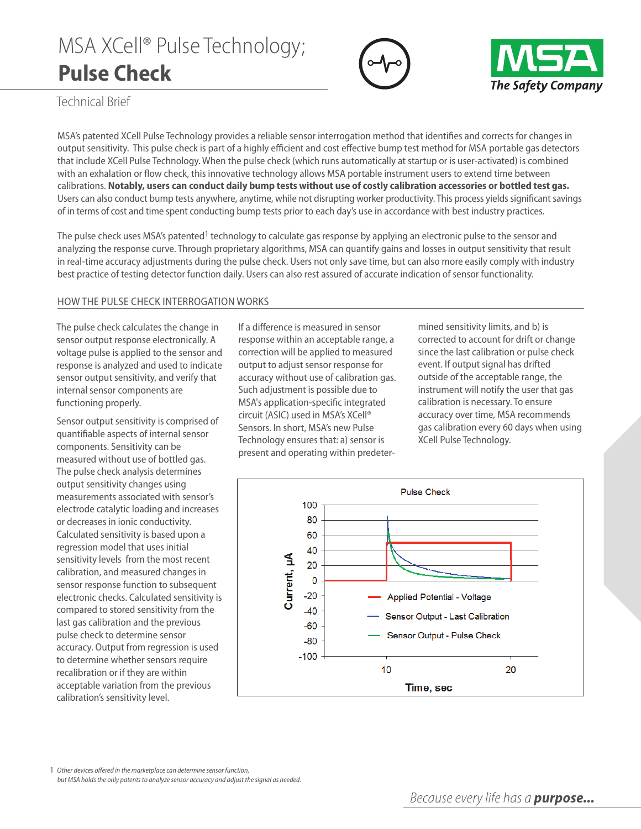## MSA XCell® Pulse Technology; **Pulse Check**





Technical Brief

MSA's patented XCell Pulse Technology provides a reliable sensor interrogation method that identifies and corrects for changes in output sensitivity. This pulse check is part of a highly efficient and cost effective bump test method for MSA portable gas detectors that include XCell Pulse Technology. when the pulse check (which runs automatically at startup or is user-activated) is combined with an exhalation or flow check, this innovative technology allows MSA portable instrument users to extend time between calibrations. Notably, users can conduct daily bump tests without use of costly calibration accessories or bottled test gas. Users can also conduct bump tests anywhere, anytime, while not disrupting worker productivity. This process yields significant savings of in terms of cost and time spent conducting bump tests prior to each day's use in accordance with best industry practices.

The pulse check uses MSA's patented<sup>1</sup> technology to calculate gas response by applying an electronic pulse to the sensor and analyzing the response curve. Through proprietary algorithms, MSA can quantify gains and losses in output sensitivity that result in real-time accuracy adjustments during the pulse check. Users not only save time, but can also more easily comply with industry best practice of testing detector function daily. Users can also rest assured of accurate indication of sensor functionality.

## HOw THe PulSe CHeCk InTerrOgATIOn wOrkS

The pulse check calculates the change in sensor output response electronically. A voltage pulse is applied to the sensor and response is analyzed and used to indicate sensor output sensitivity, and verify that internal sensor components are functioning properly.

Sensor output sensitivity is comprised of quantifiable aspects of internal sensor components. Sensitivity can be measured without use of bottled gas. The pulse check analysis determines output sensitivity changes using measurements associated with sensor's electrode catalytic loading and increases or decreases in ionic conductivity. Calculated sensitivity is based upon a regression model that uses initial sensitivity levels from the most recent calibration, and measured changes in sensor response function to subsequent electronic checks. Calculated sensitivity is compared to stored sensitivity from the last gas calibration and the previous pulse check to determine sensor accuracy. Output from regression is used to determine whether sensors require recalibration or if they are within acceptable variation from the previous calibration's sensitivity level.

If a difference is measured in sensor response within an acceptable range, a correction will be applied to measured output to adjust sensor response for accuracy without use of calibration gas. Such adjustment is possible due to MSA's application-specific integrated circuit (ASIC) used in MSA's XCell® Sensors. In short, MSA's new Pulse Technology ensures that: a) sensor is present and operating within predetermined sensitivity limits, and b) is corrected to account for drift or change since the last calibration or pulse check event. If output signal has drifted outside of the acceptable range, the instrument will notify the user that gas calibration is necessary. To ensure accuracy over time, MSA recommends gas calibration every 60 days when using XCell Pulse Technology.



1 Other devices offered in the marketplace can determine sensor function, but MSA holds the only patents to analyze sensor accuracy and adjust the signal as needed.